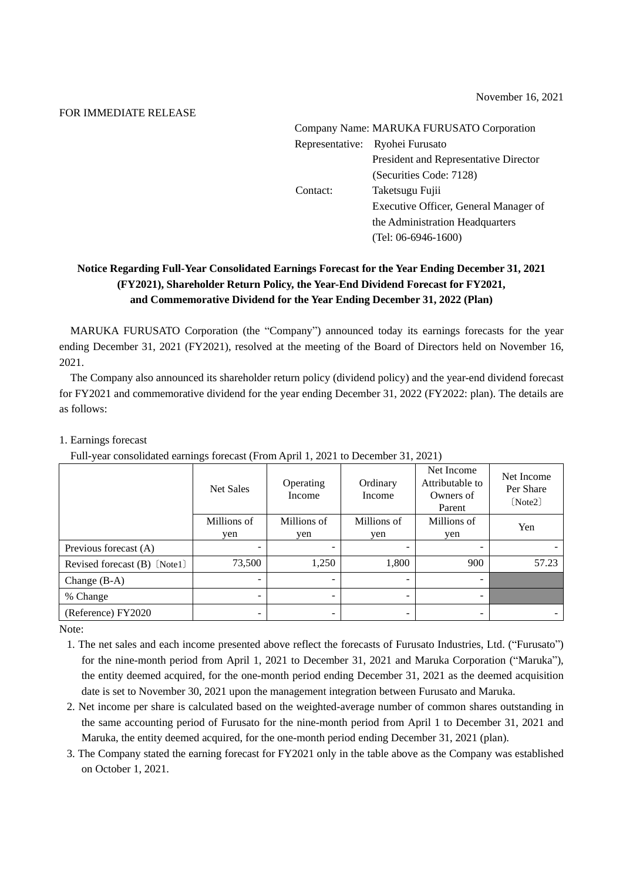## FOR IMMEDIATE RELEASE

| Company Name: MARUKA FURUSATO Corporation |                                       |  |  |  |  |
|-------------------------------------------|---------------------------------------|--|--|--|--|
|                                           | Representative: Ryohei Furusato       |  |  |  |  |
|                                           | President and Representative Director |  |  |  |  |
|                                           | (Securities Code: 7128)               |  |  |  |  |
| Contact:                                  | Taketsugu Fujii                       |  |  |  |  |
|                                           | Executive Officer, General Manager of |  |  |  |  |
|                                           | the Administration Headquarters       |  |  |  |  |
|                                           | $(Tel: 06-6946-1600)$                 |  |  |  |  |
|                                           |                                       |  |  |  |  |

# **Notice Regarding Full-Year Consolidated Earnings Forecast for the Year Ending December 31, 2021 (FY2021), Shareholder Return Policy, the Year-End Dividend Forecast for FY2021, and Commemorative Dividend for the Year Ending December 31, 2022 (Plan)**

MARUKA FURUSATO Corporation (the "Company") announced today its earnings forecasts for the year ending December 31, 2021 (FY2021), resolved at the meeting of the Board of Directors held on November 16, 2021.

The Company also announced its shareholder return policy (dividend policy) and the year-end dividend forecast for FY2021 and commemorative dividend for the year ending December 31, 2022 (FY2022: plan). The details are as follows:

## 1. Earnings forecast

Full-year consolidated earnings forecast (From April 1, 2021 to December 31, 2021)

|                              | <b>Net Sales</b> | Operating<br>Income | Ordinary<br>Income       | Net Income<br>Attributable to<br>Owners of<br>Parent | Net Income<br>Per Share<br>[Note2] |
|------------------------------|------------------|---------------------|--------------------------|------------------------------------------------------|------------------------------------|
|                              | Millions of      | Millions of         | Millions of              | Millions of                                          | Yen                                |
|                              | yen              | yen                 | yen                      | yen                                                  |                                    |
| Previous forecast (A)        |                  |                     |                          |                                                      |                                    |
| Revised forecast (B) [Note1] | 73,500           | 1,250               | 1,800                    | 900                                                  | 57.23                              |
| Change $(B-A)$               | -                |                     | $\overline{\phantom{a}}$ | $\overline{\phantom{0}}$                             |                                    |
| % Change                     |                  |                     | -                        | $\overline{\phantom{0}}$                             |                                    |
| (Reference) FY2020           | -                |                     |                          | -                                                    |                                    |

Note:

- 1. The net sales and each income presented above reflect the forecasts of Furusato Industries, Ltd. ("Furusato") for the nine-month period from April 1, 2021 to December 31, 2021 and Maruka Corporation ("Maruka"), the entity deemed acquired, for the one-month period ending December 31, 2021 as the deemed acquisition date is set to November 30, 2021 upon the management integration between Furusato and Maruka.
- 2. Net income per share is calculated based on the weighted-average number of common shares outstanding in the same accounting period of Furusato for the nine-month period from April 1 to December 31, 2021 and Maruka, the entity deemed acquired, for the one-month period ending December 31, 2021 (plan).
- 3. The Company stated the earning forecast for FY2021 only in the table above as the Company was established on October 1, 2021.